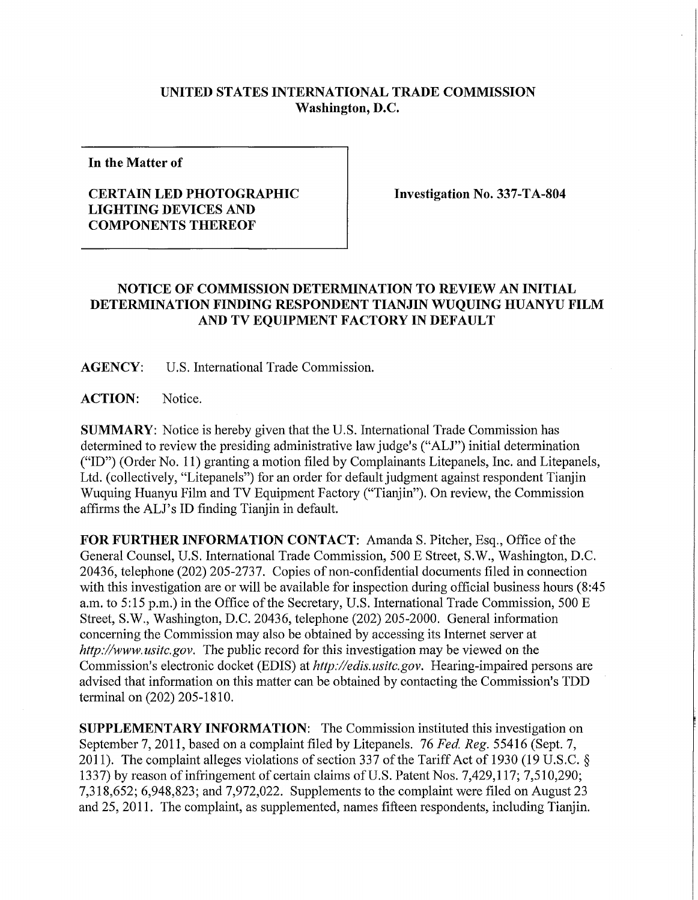## **UNITED STATES INTERNATIONAL TRADE COMMISSION Washington, D.C.**

**In the Matter of** 

## **CERTAIN LED PHOTOGRAPHIC LIGHTING DEVICES AND COMPONENTS THEREOF**

**Investigation No. 337-TA-804** 

## **NOTICE OF COMMISSION DETERMINATION TO REVIEW AN INITIAL DETERMINATION FINDING RESPONDENT TIANJIN WUQUING HUANYU FILM AND TV EQUIPMENT FACTORY IN DEFAULT**

**AGENCY:** U.S. International Trade Commission.

ACTION: Notice.

**SUMMARY:** Notice is hereby given that the U.S. International Trade Commission has determined to review the presiding administrative law judge's ("ALJ") initial determination ("ID") (Order No. 11) granting a motion filed by Complainants Litepanels, Inc. and Litepanels, Ltd. (collectively, "Litepanels") for an order for default judgment against respondent Tianjin Wuquing Huanyu Film and TV Equipment Factory ("Tianjin"). On review, the Commission affirms the ALJ's ID finding Tianjin in default.

**FOR FURTHER INFORMATION CONTACT:** Amanda S. Pitcher, Esq., Office ofthe General Counsel, U.S. International Trade Commission, 500 E Street, S.W., Washington, D.C. 20436, telephone (202) 205-2737. Copies of non-confidential documents filed in connection with this investigation are or will be available for inspection during official business hours (8:45) a.m. to  $5:15$  p.m.) in the Office of the Secretary, U.S. International Trade Commission, 500 E Street, S.W., Washington, D.C. 20436, telephone (202) 205-2000. General information concerning the Commission may also be obtained by accessing its Internet server at http://www.usitc.gov. The public record for this investigation may be viewed on the Commission's electronic docket (EDIS) at *http://edis.usitc.gov.* Hearing-impaired persons are advised that information on this matter can be obtained by contacting the Commission's TDD terminal on (202) 205-1810.

**SUPPLEMENTARY INFORMATION:** The Commission instituted this investigation on September 7, 2011, based on a complaint filed by Litepanels. 76 *Fed. Reg.* 55416 (Sept. 7, 2011). The complaint alleges violations of section 337 of the Tariff Act of 1930 (19 U.S.C. § 1337) by reason of infringement of certain claims of U.S. Patent Nos. 7,429,117; 7,510,290; 7,318,652; 6,948,823; and 7,972,022. Supplements to the complaint were filed on August 23 and 25, 2011. The complaint, as supplemented, names fifteen respondents, including Tianjin.